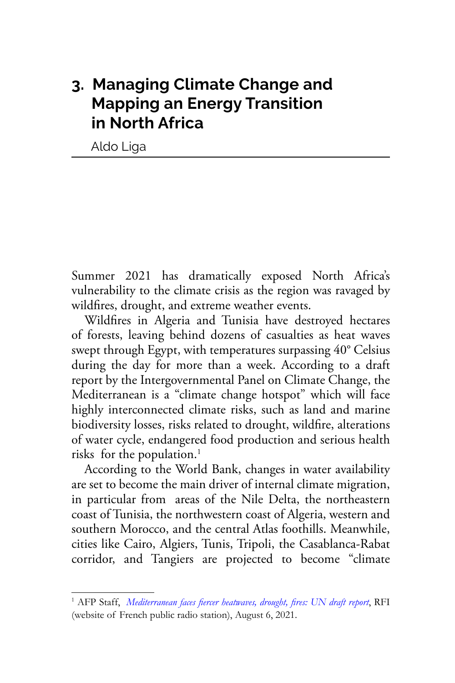# **3. Managing Climate Change and Mapping an Energy Transition in North Africa**

Aldo Liga

Summer 2021 has dramatically exposed North Africa's vulnerability to the climate crisis as the region was ravaged by wildfires, drought, and extreme weather events.

Wildfires in Algeria and Tunisia have destroyed hectares of forests, leaving behind dozens of casualties as heat waves swept through Egypt, with temperatures surpassing 40° Celsius during the day for more than a week. According to a draft report by the Intergovernmental Panel on Climate Change, the Mediterranean is a "climate change hotspot" which will face highly interconnected climate risks, such as land and marine biodiversity losses, risks related to drought, wildfire, alterations of water cycle, endangered food production and serious health risks for the population.<sup>1</sup>

According to the World Bank, changes in water availability are set to become the main driver of internal climate migration, in particular from areas of the Nile Delta, the northeastern coast of Tunisia, the northwestern coast of Algeria, western and southern Morocco, and the central Atlas foothills. Meanwhile, cities like Cairo, Algiers, Tunis, Tripoli, the Casablanca-Rabat corridor, and Tangiers are projected to become "climate

<sup>&</sup>lt;sup>1</sup> AFP Staff, *[Mediterranean faces fiercer heatwaves, drought, fires: UN draft report](https://www.rfi.fr/en/mediterranean-faces-fiercer-heatwaves-drought-fires-un-draft-report)*, RFI (website of French public radio station), August 6, 2021.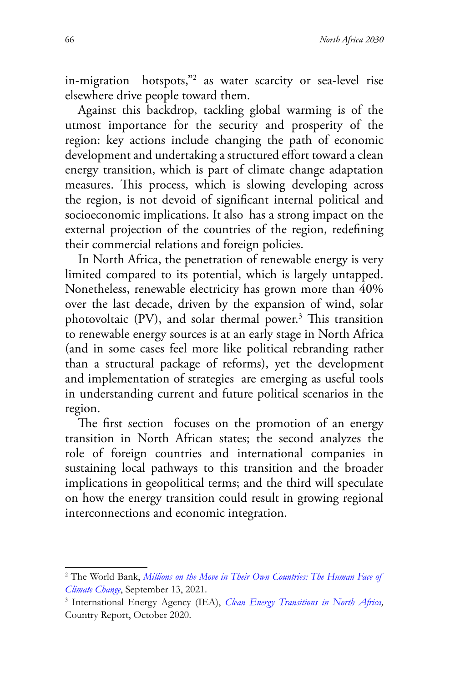in-migration hotspots,"2 as water scarcity or sea-level rise elsewhere drive people toward them.

Against this backdrop, tackling global warming is of the utmost importance for the security and prosperity of the region: key actions include changing the path of economic development and undertaking a structured effort toward a clean energy transition, which is part of climate change adaptation measures. This process, which is slowing developing across the region, is not devoid of significant internal political and socioeconomic implications. It also has a strong impact on the external projection of the countries of the region, redefining their commercial relations and foreign policies.

In North Africa, the penetration of renewable energy is very limited compared to its potential, which is largely untapped. Nonetheless, renewable electricity has grown more than 40% over the last decade, driven by the expansion of wind, solar photovoltaic (PV), and solar thermal power.<sup>3</sup> This transition to renewable energy sources is at an early stage in North Africa (and in some cases feel more like political rebranding rather than a structural package of reforms), yet the development and implementation of strategies are emerging as useful tools in understanding current and future political scenarios in the region.

The first section focuses on the promotion of an energy transition in North African states; the second analyzes the role of foreign countries and international companies in sustaining local pathways to this transition and the broader implications in geopolitical terms; and the third will speculate on how the energy transition could result in growing regional interconnections and economic integration.

<sup>2</sup> The World Bank, *[Millions on the Move in Their Own Countries: The Human Face of](https://www.worldbank.org/en/news/feature/2021/09/13/millions-on-the-move-in-their-own-countries-the-human-face-of-climate-change) [Climate Change](https://www.worldbank.org/en/news/feature/2021/09/13/millions-on-the-move-in-their-own-countries-the-human-face-of-climate-change)*, September 13, 2021.

<sup>3</sup> International Energy Agency (IEA), *[Clean Energy Transitions in North Africa,](https://www.iea.org/reports/clean-energy-transitions-in-north-africa)* Country Report, October 2020.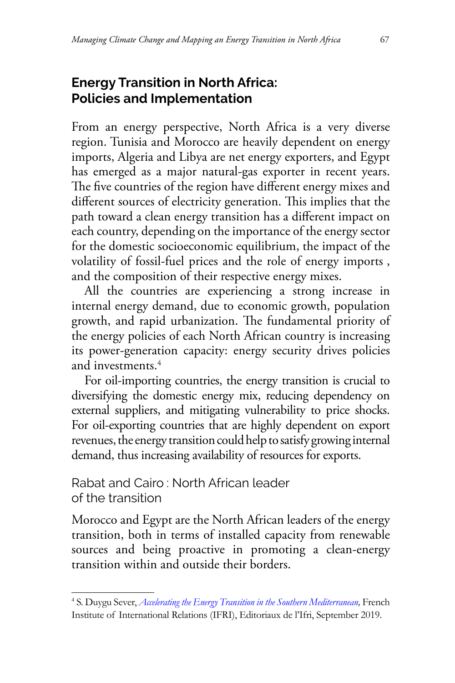## **Energy Transition in North Africa: Policies and Implementation**

From an energy perspective, North Africa is a very diverse region. Tunisia and Morocco are heavily dependent on energy imports, Algeria and Libya are net energy exporters, and Egypt has emerged as a major natural-gas exporter in recent years. The five countries of the region have different energy mixes and different sources of electricity generation. This implies that the path toward a clean energy transition has a different impact on each country, depending on the importance of the energy sector for the domestic socioeconomic equilibrium, the impact of the volatility of fossil-fuel prices and the role of energy imports , and the composition of their respective energy mixes.

All the countries are experiencing a strong increase in internal energy demand, due to economic growth, population growth, and rapid urbanization. The fundamental priority of the energy policies of each North African country is increasing its power-generation capacity: energy security drives policies and investments.4

For oil-importing countries, the energy transition is crucial to diversifying the domestic energy mix, reducing dependency on external suppliers, and mitigating vulnerability to price shocks. For oil-exporting countries that are highly dependent on export revenues, the energy transition could help to satisfy growing internal demand, thus increasing availability of resources for exports.

Rabat and Cairo : North African leader of the transition

Morocco and Egypt are the North African leaders of the energy transition, both in terms of installed capacity from renewable sources and being proactive in promoting a clean-energy transition within and outside their borders.

<sup>4</sup> S. Duygu Sever, *[Accelerating the Energy Transition in the Southern Mediterranean](https://www.ifri.org/en/publications/editoriaux-de-lifri/edito-energie/accelerating-energy-transition-southern-mediterranean),* French Institute of International Relations (IFRI), Editoriaux de l'Ifri, September 2019.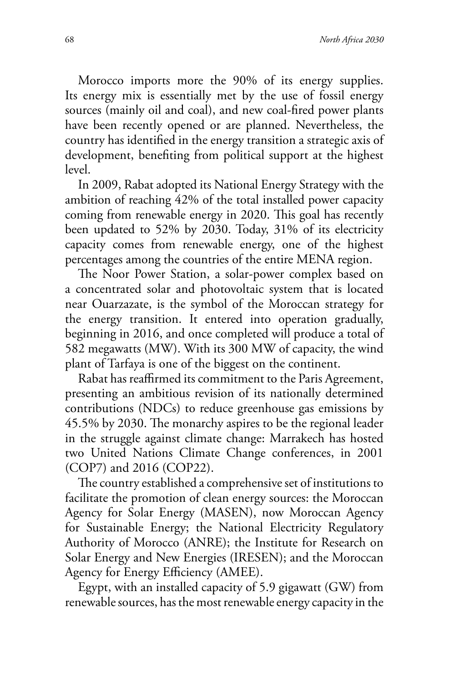Morocco imports more the 90% of its energy supplies. Its energy mix is essentially met by the use of fossil energy sources (mainly oil and coal), and new coal-fired power plants have been recently opened or are planned. Nevertheless, the country has identified in the energy transition a strategic axis of development, benefiting from political support at the highest level.

In 2009, Rabat adopted its National Energy Strategy with the ambition of reaching 42% of the total installed power capacity coming from renewable energy in 2020. This goal has recently been updated to 52% by 2030. Today, 31% of its electricity capacity comes from renewable energy, one of the highest percentages among the countries of the entire MENA region.

The Noor Power Station, a solar-power complex based on a concentrated solar and photovoltaic system that is located near Ouarzazate, is the symbol of the Moroccan strategy for the energy transition. It entered into operation gradually, beginning in 2016, and once completed will produce a total of 582 megawatts (MW). With its 300 MW of capacity, the wind plant of Tarfaya is one of the biggest on the continent.

Rabat has reaffirmed its commitment to the Paris Agreement, presenting an ambitious revision of its nationally determined contributions (NDCs) to reduce greenhouse gas emissions by 45.5% by 2030. The monarchy aspires to be the regional leader in the struggle against climate change: Marrakech has hosted two United Nations Climate Change conferences, in 2001 (COP7) and 2016 (COP22).

The country established a comprehensive set of institutions to facilitate the promotion of clean energy sources: the Moroccan Agency for Solar Energy (MASEN), now Moroccan Agency for Sustainable Energy; the National Electricity Regulatory Authority of Morocco (ANRE); the Institute for Research on Solar Energy and New Energies (IRESEN); and the Moroccan Agency for Energy Efficiency (AMEE).

Egypt, with an installed capacity of 5.9 gigawatt (GW) from renewable sources, has the most renewable energy capacity in the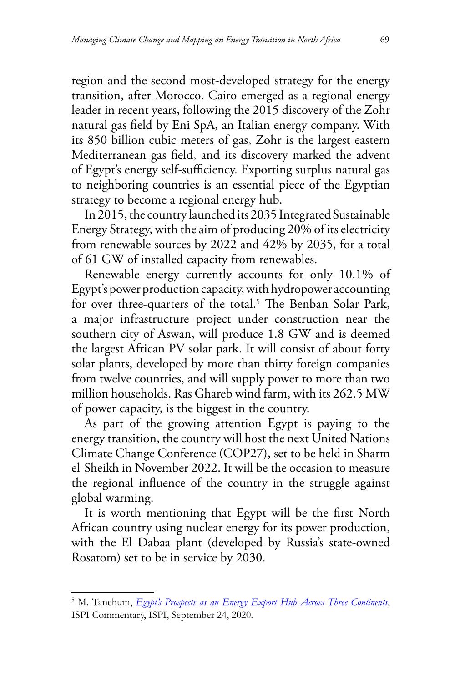region and the second most-developed strategy for the energy transition, after Morocco. Cairo emerged as a regional energy leader in recent years, following the 2015 discovery of the Zohr natural gas field by Eni SpA, an Italian energy company. With its 850 billion cubic meters of gas, Zohr is the largest eastern Mediterranean gas field, and its discovery marked the advent of Egypt's energy self-sufficiency. Exporting surplus natural gas to neighboring countries is an essential piece of the Egyptian strategy to become a regional energy hub.

In 2015, the country launched its 2035 Integrated Sustainable Energy Strategy, with the aim of producing 20% of its electricity from renewable sources by 2022 and 42% by 2035, for a total of 61 GW of installed capacity from renewables.

Renewable energy currently accounts for only 10.1% of Egypt's power production capacity, with hydropower accounting for over three-quarters of the total.<sup>5</sup> The Benban Solar Park, a major infrastructure project under construction near the southern city of Aswan, will produce 1.8 GW and is deemed the largest African PV solar park. It will consist of about forty solar plants, developed by more than thirty foreign companies from twelve countries, and will supply power to more than two million households. Ras Ghareb wind farm, with its 262.5 MW of power capacity, is the biggest in the country.

As part of the growing attention Egypt is paying to the energy transition, the country will host the next United Nations Climate Change Conference (COP27), set to be held in Sharm el-Sheikh in November 2022. It will be the occasion to measure the regional influence of the country in the struggle against global warming.

It is worth mentioning that Egypt will be the first North African country using nuclear energy for its power production, with the El Dabaa plant (developed by Russia's state-owned Rosatom) set to be in service by 2030.

<sup>5</sup> M. Tanchum, *[Egypt's Prospects as an Energy Export Hub Across Three Continents](https://www.ispionline.it/en/pubblicazione/egypts-prospects-energy-export-hub-across-three-continents-27408)*, ISPI Commentary, ISPI, September 24, 2020.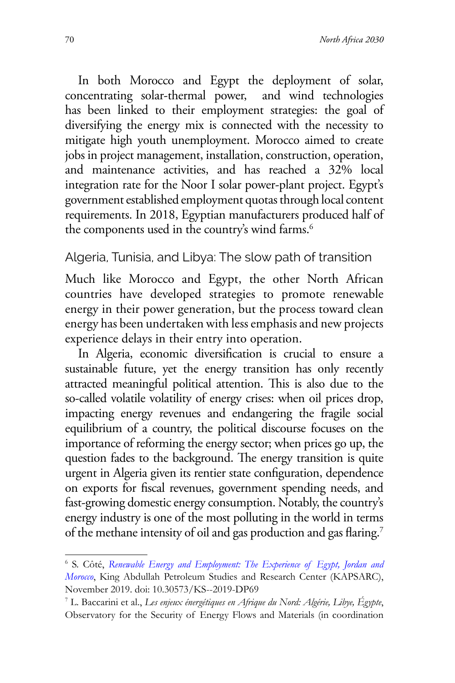In both Morocco and Egypt the deployment of solar, concentrating solar-thermal power, and wind technologies has been linked to their employment strategies: the goal of diversifying the energy mix is connected with the necessity to mitigate high youth unemployment. Morocco aimed to create jobs in project management, installation, construction, operation, and maintenance activities, and has reached a 32% local integration rate for the Noor I solar power-plant project. Egypt's government established employment quotas through local content requirements. In 2018, Egyptian manufacturers produced half of the components used in the country's wind farms.<sup>6</sup>

#### Algeria, Tunisia, and Libya: The slow path of transition

Much like Morocco and Egypt, the other North African countries have developed strategies to promote renewable energy in their power generation, but the process toward clean energy has been undertaken with less emphasis and new projects experience delays in their entry into operation.

In Algeria, economic diversification is crucial to ensure a sustainable future, yet the energy transition has only recently attracted meaningful political attention. This is also due to the so-called volatile volatility of energy crises: when oil prices drop, impacting energy revenues and endangering the fragile social equilibrium of a country, the political discourse focuses on the importance of reforming the energy sector; when prices go up, the question fades to the background. The energy transition is quite urgent in Algeria given its rentier state configuration, dependence on exports for fiscal revenues, government spending needs, and fast-growing domestic energy consumption. Notably, the country's energy industry is one of the most polluting in the world in terms of the methane intensity of oil and gas production and gas flaring.7

<sup>6</sup> S. Côté, *[Renewable Energy and Employment: The Experience of Egypt, Jordan and](https://www.kapsarc.org/research/publications/renewable-energy-and-employment-the-experience-of-e-egypt-jordan-and-morocco/) [Morocco](https://www.kapsarc.org/research/publications/renewable-energy-and-employment-the-experience-of-e-egypt-jordan-and-morocco/)*, King Abdullah Petroleum Studies and Research Center (KAPSARC), November 2019. doi: 10.30573/KS--2019-DP69

<sup>7</sup> L. Baccarini et al., *Les enjeux énergétiques en Afrique du Nord: Algérie, Libye, Égypte*, Observatory for the Security of Energy Flows and Materials (in coordination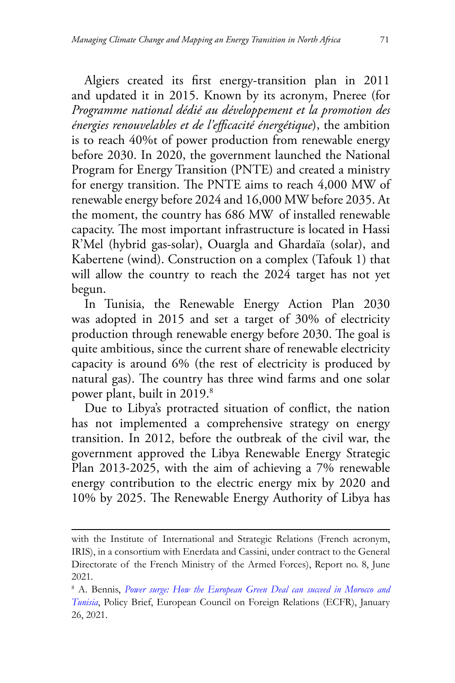Algiers created its first energy-transition plan in 2011 and updated it in 2015. Known by its acronym, Pneree (for *Programme national dédié au développement et la promotion des énergies renouvelables et de l'efficacité énergétique*), the ambition is to reach 40%t of power production from renewable energy before 2030. In 2020, the government launched the National Program for Energy Transition (PNTE) and created a ministry for energy transition. The PNTE aims to reach 4,000 MW of renewable energy before 2024 and 16,000 MW before 2035. At the moment, the country has 686 MW of installed renewable capacity. The most important infrastructure is located in Hassi R'Mel (hybrid gas-solar), Ouargla and Ghardaïa (solar), and Kabertene (wind). Construction on a complex (Tafouk 1) that will allow the country to reach the 2024 target has not yet begun.

In Tunisia, the Renewable Energy Action Plan 2030 was adopted in 2015 and set a target of 30% of electricity production through renewable energy before 2030. The goal is quite ambitious, since the current share of renewable electricity capacity is around 6% (the rest of electricity is produced by natural gas). The country has three wind farms and one solar power plant, built in 2019.8

Due to Libya's protracted situation of conflict, the nation has not implemented a comprehensive strategy on energy transition. In 2012, before the outbreak of the civil war, the government approved the Libya Renewable Energy Strategic Plan 2013-2025, with the aim of achieving a 7% renewable energy contribution to the electric energy mix by 2020 and 10% by 2025. The Renewable Energy Authority of Libya has

with the Institute of International and Strategic Relations (French acronym, IRIS), in a consortium with Enerdata and Cassini, under contract to the General Directorate of the French Ministry of the Armed Forces), Report no. 8, June 2021.

<sup>8</sup> A. Bennis, *[Power surge: How the European Green Deal can succeed in Morocco and](https://ecfr.eu/publication/power-surge-how-the-european-green-deal-can-succeed-in-morocco-and-tunisia/#:~:text=By encouraging European investment in,projects in Morocco and Tunisia.) [Tunisia](https://ecfr.eu/publication/power-surge-how-the-european-green-deal-can-succeed-in-morocco-and-tunisia/#:~:text=By encouraging European investment in,projects in Morocco and Tunisia.)*, Policy Brief, European Council on Foreign Relations (ECFR), January 26, 2021.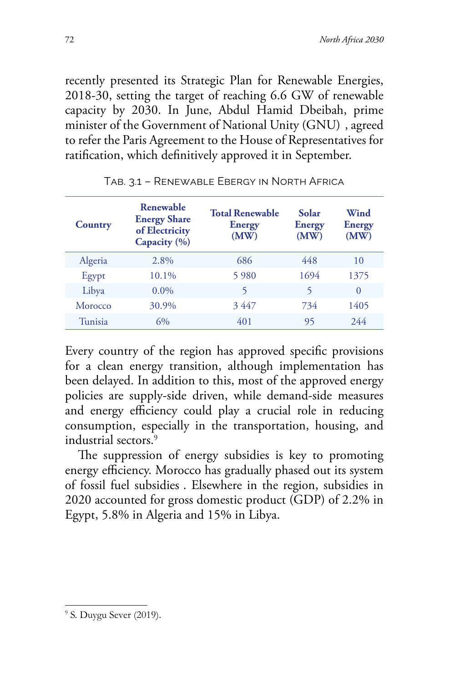recently presented its Strategic Plan for Renewable Energies, 2018-30, setting the target of reaching 6.6 GW of renewable capacity by 2030. In June, Abdul Hamid Dbeibah, prime minister of the Government of National Unity (GNU) , agreed to refer the Paris Agreement to the House of Representatives for ratification, which definitively approved it in September.

| Country | Renewable<br><b>Energy Share</b><br>of Electricity<br>Capacity $(\% )$ | <b>Total Renewable</b><br><b>Energy</b><br>(MW) | Solar<br>Energy<br>(MW) | Wind<br><b>Energy</b><br>(MW) |
|---------|------------------------------------------------------------------------|-------------------------------------------------|-------------------------|-------------------------------|
| Algeria | 2.8%                                                                   | 686                                             | 448                     | 10                            |
| Egypt   | 10.1%                                                                  | 5 9 8 0                                         | 1694                    | 1375                          |
| Libya   | $0.0\%$                                                                | 5                                               | 5                       | $\Omega$                      |
| Morocco | 30.9%                                                                  | 3447                                            | 734                     | 1405                          |
| Tunisia | 6%                                                                     | 401                                             | 95                      | 2.44                          |

Tab. 3.1 – Renewable Ebergy in North Africa

Every country of the region has approved specific provisions for a clean energy transition, although implementation has been delayed. In addition to this, most of the approved energy policies are supply-side driven, while demand-side measures and energy efficiency could play a crucial role in reducing consumption, especially in the transportation, housing, and industrial sectors.9

The suppression of energy subsidies is key to promoting energy efficiency. Morocco has gradually phased out its system of fossil fuel subsidies . Elsewhere in the region, subsidies in 2020 accounted for gross domestic product (GDP) of 2.2% in Egypt, 5.8% in Algeria and 15% in Libya.

<sup>&</sup>lt;sup>9</sup> S. Duygu Sever (2019).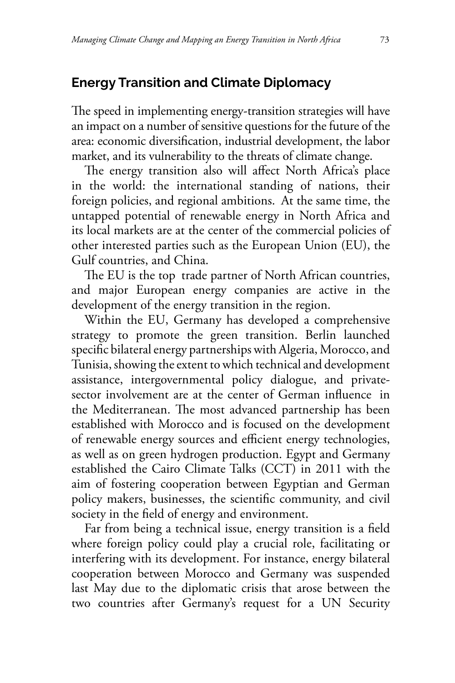#### **Energy Transition and Climate Diplomacy**

The speed in implementing energy-transition strategies will have an impact on a number of sensitive questions for the future of the area: economic diversification, industrial development, the labor market, and its vulnerability to the threats of climate change.

The energy transition also will affect North Africa's place in the world: the international standing of nations, their foreign policies, and regional ambitions. At the same time, the untapped potential of renewable energy in North Africa and its local markets are at the center of the commercial policies of other interested parties such as the European Union (EU), the Gulf countries, and China.

The EU is the top trade partner of North African countries, and major European energy companies are active in the development of the energy transition in the region.

Within the EU, Germany has developed a comprehensive strategy to promote the green transition. Berlin launched specific bilateral energy partnerships with Algeria, Morocco, and Tunisia, showing the extent to which technical and development assistance, intergovernmental policy dialogue, and privatesector involvement are at the center of German influence in the Mediterranean. The most advanced partnership has been established with Morocco and is focused on the development of renewable energy sources and efficient energy technologies, as well as on green hydrogen production. Egypt and Germany established the Cairo Climate Talks (CCT) in 2011 with the aim of fostering cooperation between Egyptian and German policy makers, businesses, the scientific community, and civil society in the field of energy and environment.

Far from being a technical issue, energy transition is a field where foreign policy could play a crucial role, facilitating or interfering with its development. For instance, energy bilateral cooperation between Morocco and Germany was suspended last May due to the diplomatic crisis that arose between the two countries after Germany's request for a UN Security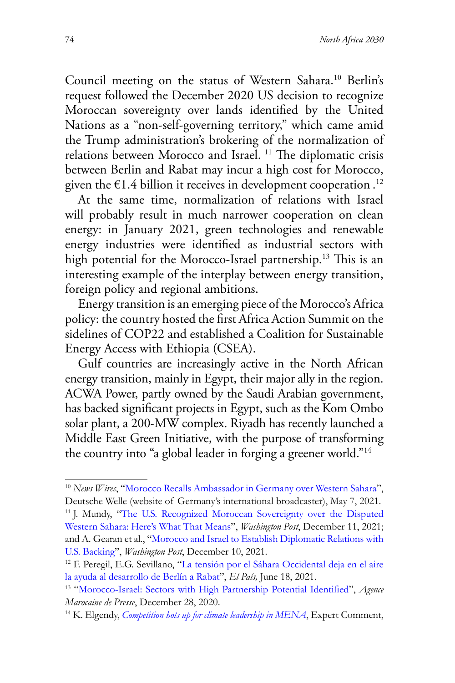Council meeting on the status of Western Sahara.10 Berlin's request followed the December 2020 US decision to recognize Moroccan sovereignty over lands identified by the United Nations as a "non-self-governing territory," which came amid the Trump administration's brokering of the normalization of relations between Morocco and Israel. 11 The diplomatic crisis between Berlin and Rabat may incur a high cost for Morocco, given the  $\epsilon$ 1.4 billion it receives in development cooperation . $^{12}$ 

At the same time, normalization of relations with Israel will probably result in much narrower cooperation on clean energy: in January 2021, green technologies and renewable energy industries were identified as industrial sectors with high potential for the Morocco-Israel partnership.<sup>13</sup> This is an interesting example of the interplay between energy transition, foreign policy and regional ambitions.

Energy transition is an emerging piece of the Morocco's Africa policy: the country hosted the first Africa Action Summit on the sidelines of COP22 and established a Coalition for Sustainable Energy Access with Ethiopia (CSEA).

Gulf countries are increasingly active in the North African energy transition, mainly in Egypt, their major ally in the region. ACWA Power, partly owned by the Saudi Arabian government, has backed significant projects in Egypt, such as the Kom Ombo solar plant, a 200-MW complex. Riyadh has recently launched a Middle East Green Initiative, with the purpose of transforming the country into "a global leader in forging a greener world."14

<sup>&</sup>lt;sup>10</sup> *News Wires*, ["Morocco Recalls Ambassador in Germany over Western Sahara](https://p.dw.com/p/3t4kb.)", Deutsche Welle (website of Germany's international broadcaster), May 7, 2021.

<sup>&</sup>lt;sup>11</sup> J. Mundy, "[The U.S. Recognized Moroccan Sovereignty over the Disputed](https://www.washingtonpost.com/politics/2020/12/11/us-recognized-moroccan-sovereignty-over-disputed-western-sahara-heres-what-that-means/) [Western Sahara: Here's What That Means](https://www.washingtonpost.com/politics/2020/12/11/us-recognized-moroccan-sovereignty-over-disputed-western-sahara-heres-what-that-means/)", *Washington Post*, December 11, 2021; and A. Gearan et al., ["Morocco and Israel to Establish Diplomatic Relations with](https://www.washingtonpost.com/world/middle_east/israel-morocco-diplomatic-ties/2020/12/10/e9122db2-3b06-11eb-aad9-8959227280c4_story.html.) [U.S. Backing](https://www.washingtonpost.com/world/middle_east/israel-morocco-diplomatic-ties/2020/12/10/e9122db2-3b06-11eb-aad9-8959227280c4_story.html.)", *Washington Post*, December 10, 2021.

<sup>12</sup> F. Peregil, E.G. Sevillano, "[La tensión por el Sáhara Occidental deja en el aire](https://elpais.com/internacional/2021-06-18/la-tension-por-el-sahara-occidental-deja-en-el-aire-la-ayuda-al-desarrollo-de-berlin-a-rabat.html) la ayuda al desarrollo de Berlín a Rabat", *El País,* [June 18, 2021.](https://www.mapnews.ma/en/actualites/economy/morocco-israel-sectors-high-partnership-potential-identified-ministry) 13 "Morocco-Israel: Sectors with High Partnership Potential Identified", *Agence* 

*Marocaine de Presse*, December 28, 2020.

<sup>14</sup> K. Elgendy, *[Competition hots up for climate leadership in MENA](https://www.chathamhouse.org/2021/05/competition-hots-climate-leadership-mena)*, Expert Comment,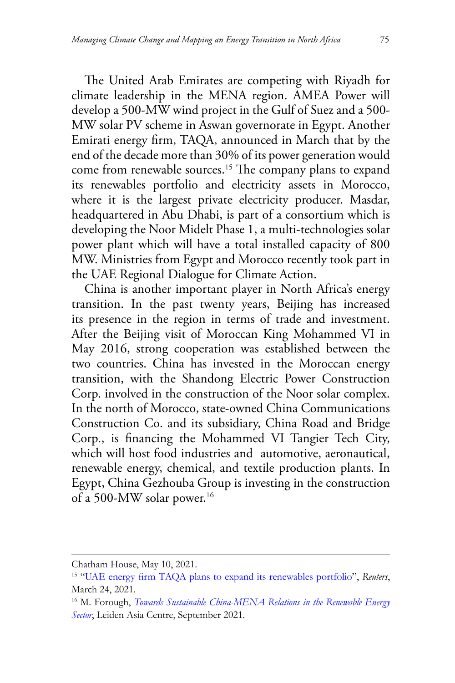The United Arab Emirates are competing with Riyadh for climate leadership in the MENA region. AMEA Power will develop a 500-MW wind project in the Gulf of Suez and a 500- MW solar PV scheme in Aswan governorate in Egypt. Another Emirati energy firm, TAQA, announced in March that by the end of the decade more than 30% of its power generation would come from renewable sources.15 The company plans to expand its renewables portfolio and electricity assets in Morocco, where it is the largest private electricity producer. Masdar, headquartered in Abu Dhabi, is part of a consortium which is developing the Noor Midelt Phase 1, a multi-technologies solar power plant which will have a total installed capacity of 800 MW. Ministries from Egypt and Morocco recently took part in the UAE Regional Dialogue for Climate Action.

China is another important player in North Africa's energy transition. In the past twenty years, Beijing has increased its presence in the region in terms of trade and investment. After the Beijing visit of Moroccan King Mohammed VI in May 2016, strong cooperation was established between the two countries. China has invested in the Moroccan energy transition, with the Shandong Electric Power Construction Corp. involved in the construction of the Noor solar complex. In the north of Morocco, state-owned China Communications Construction Co. and its subsidiary, China Road and Bridge Corp., is financing the Mohammed VI Tangier Tech City, which will host food industries and automotive, aeronautical, renewable energy, chemical, and textile production plants. In Egypt, China Gezhouba Group is investing in the construction of a 500-MW solar power.16

Chatham House, May 10, 2021.

<sup>15 &</sup>quot;[UAE energy firm TAQA plans to expand its renewables portfolio](https://www.reuters.com/article/taqa-strategy-int-idUSKBN2BG0RI)", *Reuters*, March 24, 2021.

<sup>16</sup> M. Forough, *[Towards Sustainable China-MENA Relations in the Renewable Energy](https://leidenasiacentre.nl/10655-2/) [Sector](https://leidenasiacentre.nl/10655-2/)*, Leiden Asia Centre, September 2021.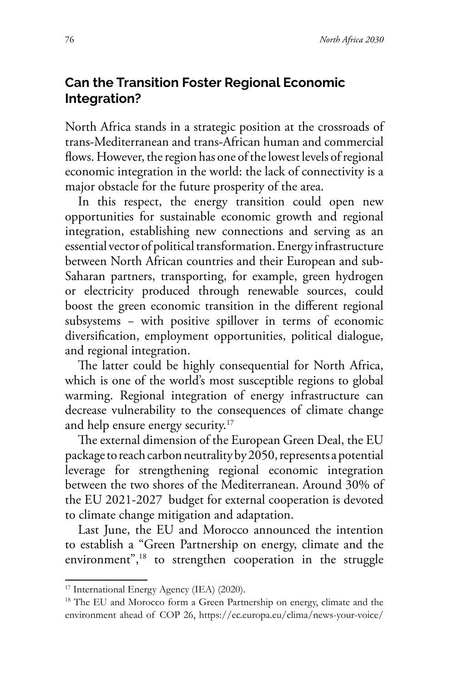### **Can the Transition Foster Regional Economic Integration?**

North Africa stands in a strategic position at the crossroads of trans-Mediterranean and trans-African human and commercial flows. However, the region has one of the lowest levels of regional economic integration in the world: the lack of connectivity is a major obstacle for the future prosperity of the area.

In this respect, the energy transition could open new opportunities for sustainable economic growth and regional integration, establishing new connections and serving as an essential vector of political transformation. Energy infrastructure between North African countries and their European and sub-Saharan partners, transporting, for example, green hydrogen or electricity produced through renewable sources, could boost the green economic transition in the different regional subsystems – with positive spillover in terms of economic diversification, employment opportunities, political dialogue, and regional integration.

The latter could be highly consequential for North Africa, which is one of the world's most susceptible regions to global warming. Regional integration of energy infrastructure can decrease vulnerability to the consequences of climate change and help ensure energy security.<sup>17</sup>

The external dimension of the European Green Deal, the EU package to reach carbon neutrality by 2050, represents a potential leverage for strengthening regional economic integration between the two shores of the Mediterranean. Around 30% of the EU 2021-2027 budget for external cooperation is devoted to climate change mitigation and adaptation.

Last June, the EU and Morocco announced the intention to establish a "Green Partnership on energy, climate and the environment",<sup>18</sup> to strengthen cooperation in the struggle

<sup>&</sup>lt;sup>17</sup> International Energy Agency (IEA) (2020).

<sup>&</sup>lt;sup>18</sup> The EU and Morocco form a Green Partnership on energy, climate and the environment ahead of COP 26, https://ec.europa.eu/clima/news-your-voice/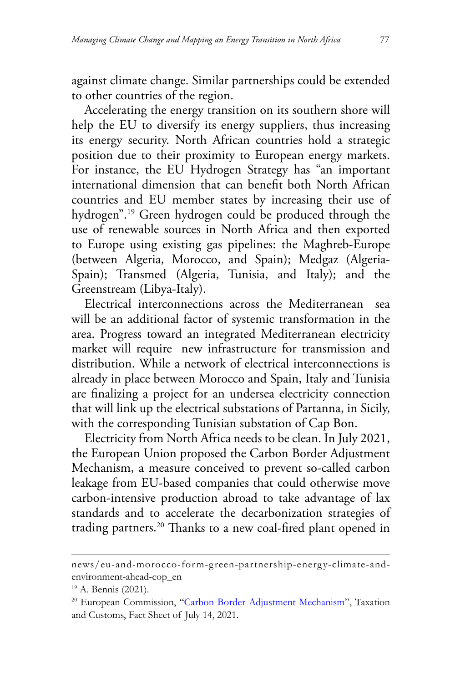against climate change. Similar partnerships could be extended to other countries of the region.

Accelerating the energy transition on its southern shore will help the EU to diversify its energy suppliers, thus increasing its energy security. North African countries hold a strategic position due to their proximity to European energy markets. For instance, the EU Hydrogen Strategy has "an important international dimension that can benefit both North African countries and EU member states by increasing their use of hydrogen".19 Green hydrogen could be produced through the use of renewable sources in North Africa and then exported to Europe using existing gas pipelines: the Maghreb-Europe (between Algeria, Morocco, and Spain); Medgaz (Algeria-Spain); Transmed (Algeria, Tunisia, and Italy); and the Greenstream (Libya-Italy).

Electrical interconnections across the Mediterranean sea will be an additional factor of systemic transformation in the area. Progress toward an integrated Mediterranean electricity market will require new infrastructure for transmission and distribution. While a network of electrical interconnections is already in place between Morocco and Spain, Italy and Tunisia are finalizing a project for an undersea electricity connection that will link up the electrical substations of Partanna, in Sicily, with the corresponding Tunisian substation of Cap Bon.

Electricity from North Africa needs to be clean. In July 2021, the European Union proposed the Carbon Border Adjustment Mechanism, a measure conceived to prevent so-called carbon leakage from EU-based companies that could otherwise move carbon-intensive production abroad to take advantage of lax standards and to accelerate the decarbonization strategies of trading partners.20 Thanks to a new coal-fired plant opened in

news/eu-and-morocco-form-green-partnership-energy-climate-andenvironment-ahead-cop\_en

<sup>19</sup> A. Bennis (2021).

<sup>20</sup> European Commission, "[Carbon Border Adjustment Mechanism"](https://ec.europa.eu/taxation_customs/green-taxation-0/carbon-border-adjustment-mechanism_en.), Taxation and Customs, Fact Sheet of July 14, 2021.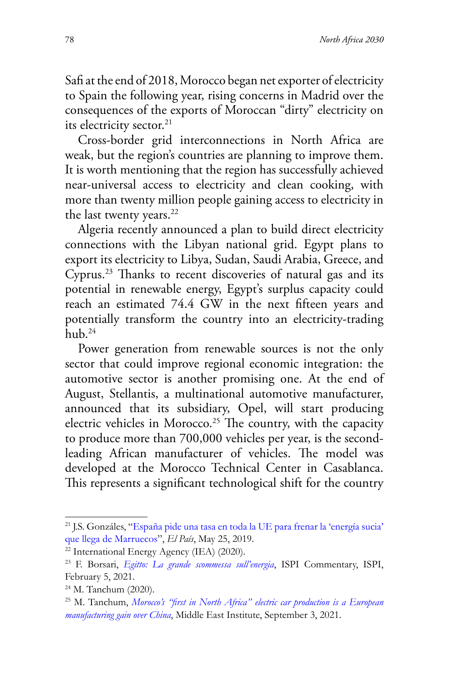Safi at the end of 2018, Morocco began net exporter of electricity to Spain the following year, rising concerns in Madrid over the consequences of the exports of Moroccan "dirty" electricity on its electricity sector.<sup>21</sup>

Cross-border grid interconnections in North Africa are weak, but the region's countries are planning to improve them. It is worth mentioning that the region has successfully achieved near-universal access to electricity and clean cooking, with more than twenty million people gaining access to electricity in the last twenty years.<sup>22</sup>

Algeria recently announced a plan to build direct electricity connections with the Libyan national grid. Egypt plans to export its electricity to Libya, Sudan, Saudi Arabia, Greece, and Cyprus.23 Thanks to recent discoveries of natural gas and its potential in renewable energy, Egypt's surplus capacity could reach an estimated 74.4 GW in the next fifteen years and potentially transform the country into an electricity-trading  $h_{11}h^{24}$ 

Power generation from renewable sources is not the only sector that could improve regional economic integration: the automotive sector is another promising one. At the end of August, Stellantis, a multinational automotive manufacturer, announced that its subsidiary, Opel, will start producing electric vehicles in Morocco.<sup>25</sup> The country, with the capacity to produce more than 700,000 vehicles per year, is the secondleading African manufacturer of vehicles. The model was developed at the Morocco Technical Center in Casablanca. This represents a significant technological shift for the country

<sup>21</sup> J.S. Gonzáles, "[España pide una tasa en toda la UE para frenar la 'energía sucia'](https://elpais.com/economia/2019/05/24/actualidad/1558725430_875077.html) [que llega de Marruecos](https://elpais.com/economia/2019/05/24/actualidad/1558725430_875077.html)", *El País*, May 25, 2019.

<sup>22</sup> International Energy Agency (IEA) (2020).

<sup>23</sup> F. Borsari, *[Egitto: La grande scommessa sull'energia](https://www.ispionline.it/it/pubblicazione/egitto-la-grande-scommessa-sullenergia-29174)*, ISPI Commentary, ISPI, February 5, 2021.

<sup>24</sup> M. Tanchum (2020).

<sup>25</sup> M. Tanchum, *[Morocco's "first in North Africa" electric car production is a European](https://www.mei.edu/publications/moroccos-first-north-africa-electric-car-production-european-manufacturing-gain-over) [manufacturing gain over China](https://www.mei.edu/publications/moroccos-first-north-africa-electric-car-production-european-manufacturing-gain-over)*, Middle East Institute, September 3, 2021.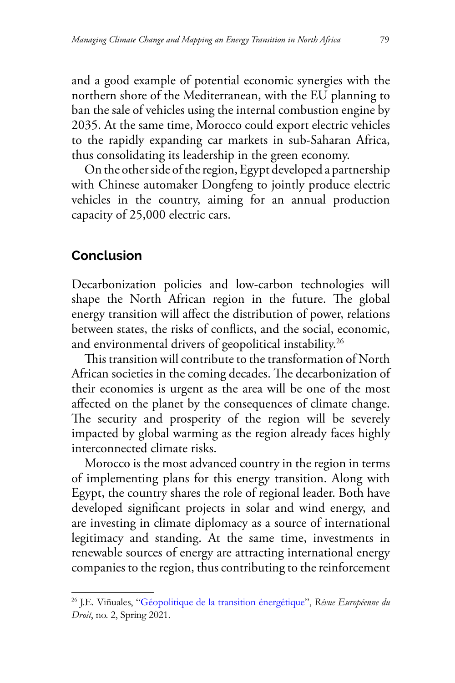and a good example of potential economic synergies with the northern shore of the Mediterranean, with the EU planning to ban the sale of vehicles using the internal combustion engine by 2035. At the same time, Morocco could export electric vehicles to the rapidly expanding car markets in sub-Saharan Africa, thus consolidating its leadership in the green economy.

On the other side of the region, Egypt developed a partnership with Chinese automaker Dongfeng to jointly produce electric vehicles in the country, aiming for an annual production capacity of 25,000 electric cars.

#### **Conclusion**

Decarbonization policies and low-carbon technologies will shape the North African region in the future. The global energy transition will affect the distribution of power, relations between states, the risks of conflicts, and the social, economic, and environmental drivers of geopolitical instability.26

This transition will contribute to the transformation of North African societies in the coming decades. The decarbonization of their economies is urgent as the area will be one of the most affected on the planet by the consequences of climate change. The security and prosperity of the region will be severely impacted by global warming as the region already faces highly interconnected climate risks.

Morocco is the most advanced country in the region in terms of implementing plans for this energy transition. Along with Egypt, the country shares the role of regional leader. Both have developed significant projects in solar and wind energy, and are investing in climate diplomacy as a source of international legitimacy and standing. At the same time, investments in renewable sources of energy are attracting international energy companies to the region, thus contributing to the reinforcement

<sup>26</sup> J.E. Viñuales, "[Géopolitique de la transition énergétique"](https://geopolitique.eu/articles/geopolitique-de-la-transition-energetique/), *Révue Européenne du Droit*, no. 2, Spring 2021.